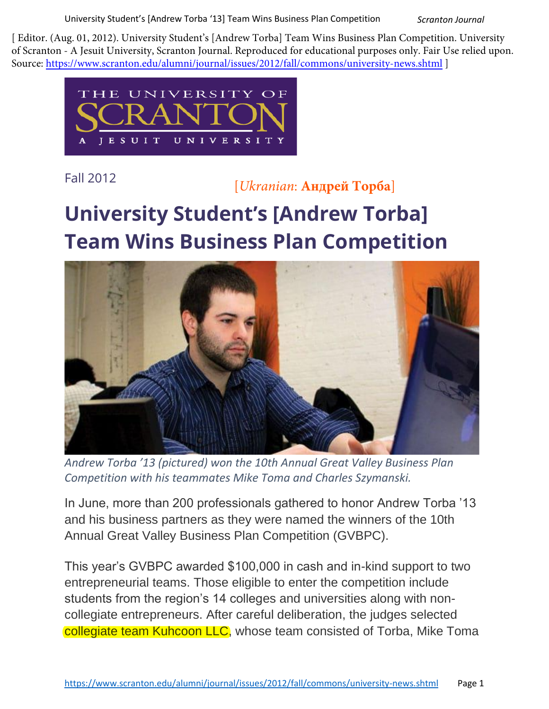University Student's [Andrew Torba '13] Team Wins Business Plan Competition *Scranton Journal*

[ Editor. (Aug. 01, 2012). University Student's [Andrew Torba] Team Wins Business Plan Competition. University of Scranton - A Jesuit University, Scranton Journal. Reproduced for educational purposes only. Fair Use relied upon. Source: https://www.scranton.edu/alumni/journal/issues/2012/fall/commons/university-news.shtml ]



Fall 2012

## [*Ukranian*: **Андрей Торба**]

## **University Student's [Andrew Torba] Team Wins Business Plan Competition**



*Andrew Torba '13 (pictured) won the 10th Annual Great Valley Business Plan Competition with his teammates Mike Toma and Charles Szymanski.*

In June, more than 200 professionals gathered to honor Andrew Torba '13 and his business partners as they were named the winners of the 10th Annual Great Valley Business Plan Competition (GVBPC).

This year's GVBPC awarded \$100,000 in cash and in-kind support to two entrepreneurial teams. Those eligible to enter the competition include students from the region's 14 colleges and universities along with noncollegiate entrepreneurs. After careful deliberation, the judges selected collegiate team Kuhcoon LLC, whose team consisted of Torba, Mike Toma